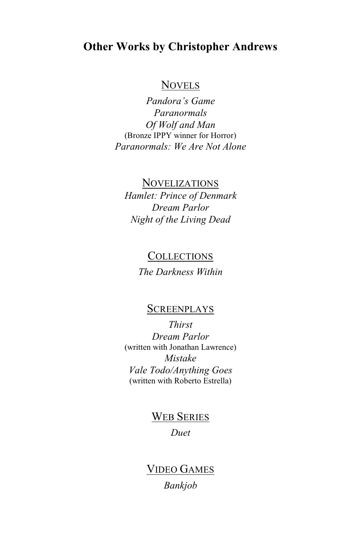#### **Other Works by Christopher Andrews**

#### **NOVELS**

*Pandora's Game Paranormals Of Wolf and Man* (Bronze IPPY winner for Horror) *Paranormals: We Are Not Alone*

#### NOVELIZATIONS

*Hamlet: Prince of Denmark Dream Parlor Night of the Living Dead*

## COLLECTIONS

*The Darkness Within*

#### **SCREENPLAYS**

*Thirst Dream Parlor* (written with Jonathan Lawrence) *Mistake Vale Todo/Anything Goes* (written with Roberto Estrella)

> WEB SERIES *Duet*

VIDEO GAMES *Bankjob*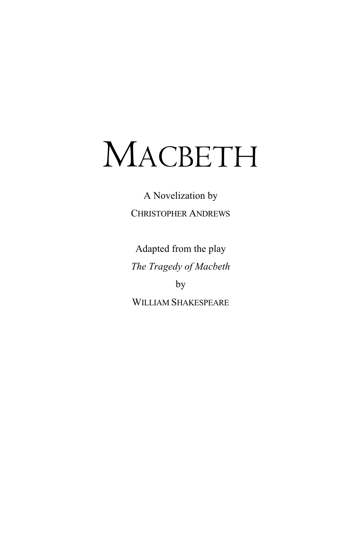A Novelization by CHRISTOPHER ANDREWS

Adapted from the play *The Tragedy of Macbeth* by WILLIAM SHAKESPEARE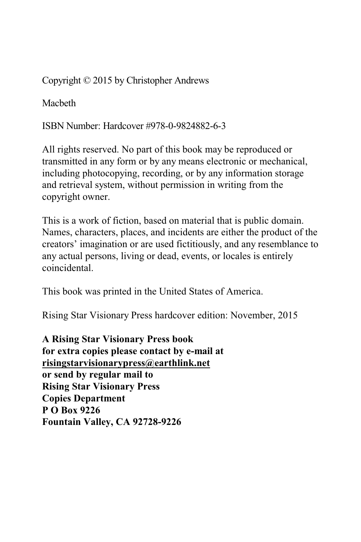Copyright © 2015 by Christopher Andrews

Macbeth

ISBN Number: Hardcover #978-0-9824882-6-3

All rights reserved. No part of this book may be reproduced or transmitted in any form or by any means electronic or mechanical, including photocopying, recording, or by any information storage and retrieval system, without permission in writing from the copyright owner.

This is a work of fiction, based on material that is public domain. Names, characters, places, and incidents are either the product of the creators' imagination or are used fictitiously, and any resemblance to any actual persons, living or dead, events, or locales is entirely coincidental.

This book was printed in the United States of America.

Rising Star Visionary Press hardcover edition: November, 2015

**A Rising Star Visionary Press book for extra copies please contact by e-mail at risingstarvisionarypress@earthlink.net or send by regular mail to Rising Star Visionary Press Copies Department P O Box 9226 Fountain Valley, CA 92728-9226**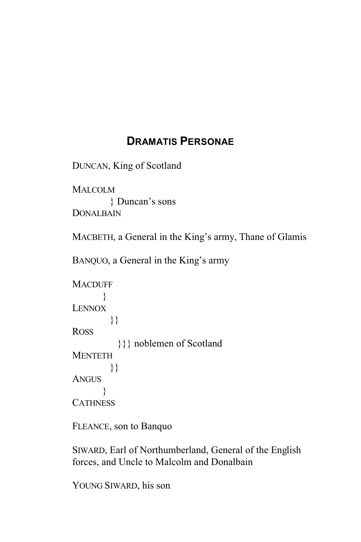### **DRAMATIS PERSONAE**

DUNCAN, King of Scotland

**MALCOLM**  } Duncan's sons **DONALBAIN** 

MACBETH, a General in the King's army, Thane of Glamis

BANQUO, a General in the King's army

```
MACDUFF
      }
LENNOX
        }}
ROSS
          }}} noblemen of Scotland
MENTETH
        }}
ANGUS
      }
CATHNESS
```
FLEANCE, son to Banquo

SIWARD, Earl of Northumberland, General of the English forces, and Uncle to Malcolm and Donalbain

YOUNG SIWARD, his son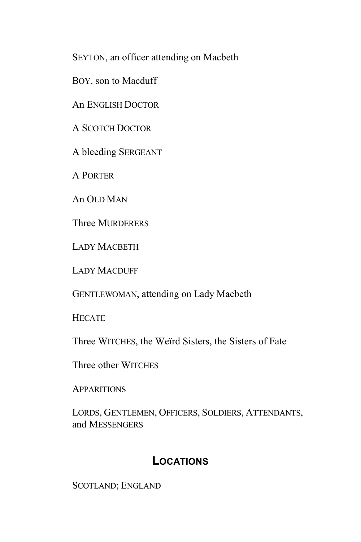SEYTON, an officer attending on Macbeth

BOY, son to Macduff

An ENGLISH DOCTOR

A SCOTCH DOCTOR

A bleeding SERGEANT

A PORTER

An OLD MAN

Three MURDERERS

LADY MACBETH

LADY MACDUFF

GENTLEWOMAN, attending on Lady Macbeth

**HECATE** 

Three WITCHES, the Weïrd Sisters, the Sisters of Fate

Three other WITCHES

**APPARITIONS** 

LORDS, GENTLEMEN, OFFICERS, SOLDIERS, ATTENDANTS, and MESSENGERS

### **LOCATIONS**

SCOTLAND; ENGLAND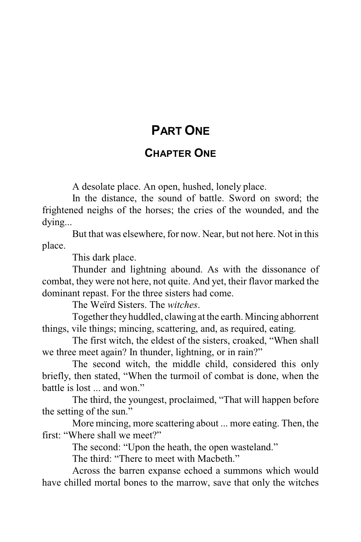# **PART ONE**

#### **CHAPTER ONE**

A desolate place. An open, hushed, lonely place.

In the distance, the sound of battle. Sword on sword; the frightened neighs of the horses; the cries of the wounded, and the dying...

But that was elsewhere, for now. Near, but not here. Not in this place.

This dark place.

Thunder and lightning abound. As with the dissonance of combat, they were not here, not quite. And yet, their flavor marked the dominant repast. For the three sisters had come.

The Weïrd Sisters. The *witches*.

Together theyhuddled, clawing at the earth. Mincing abhorrent things, vile things; mincing, scattering, and, as required, eating.

The first witch, the eldest of the sisters, croaked, "When shall we three meet again? In thunder, lightning, or in rain?"

The second witch, the middle child, considered this only briefly, then stated, "When the turmoil of combat is done, when the battle is lost ... and won."

The third, the youngest, proclaimed, "That will happen before the setting of the sun."

More mincing, more scattering about ... more eating. Then, the first: "Where shall we meet?"

The second: "Upon the heath, the open wasteland."

The third: "There to meet with Macbeth."

Across the barren expanse echoed a summons which would have chilled mortal bones to the marrow, save that only the witches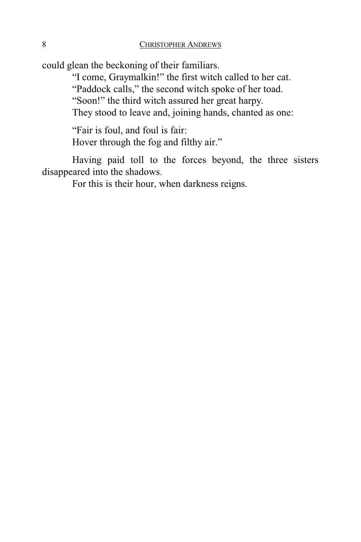could glean the beckoning of their familiars.

"I come, Graymalkin!" the first witch called to her cat.

"Paddock calls," the second witch spoke of her toad.

"Soon!" the third witch assured her great harpy.

They stood to leave and, joining hands, chanted as one:

"Fair is foul, and foul is fair: Hover through the fog and filthy air."

Having paid toll to the forces beyond, the three sisters disappeared into the shadows.

For this is their hour, when darkness reigns.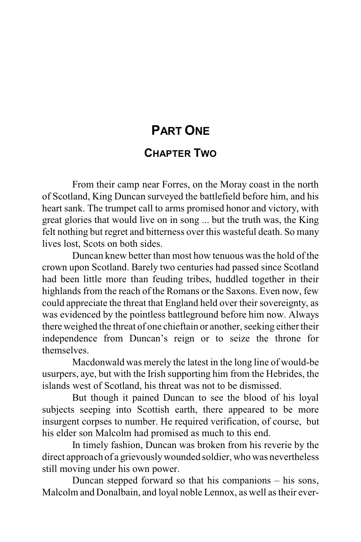# **PART ONE**

#### **CHAPTER TWO**

From their camp near Forres, on the Moray coast in the north of Scotland, King Duncan surveyed the battlefield before him, and his heart sank. The trumpet call to arms promised honor and victory, with great glories that would live on in song ... but the truth was, the King felt nothing but regret and bitterness over this wasteful death. So many lives lost, Scots on both sides.

Duncan knew better than most how tenuous was the hold of the crown upon Scotland. Barely two centuries had passed since Scotland had been little more than feuding tribes, huddled together in their highlands from the reach of the Romans or the Saxons. Even now, few could appreciate the threat that England held over their sovereignty, as was evidenced by the pointless battleground before him now. Always there weighed the threat of one chieftain or another, seeking either their independence from Duncan's reign or to seize the throne for themselves.

Macdonwald was merely the latest in the long line of would-be usurpers, aye, but with the Irish supporting him from the Hebrides, the islands west of Scotland, his threat was not to be dismissed.

But though it pained Duncan to see the blood of his loyal subjects seeping into Scottish earth, there appeared to be more insurgent corpses to number. He required verification, of course, but his elder son Malcolm had promised as much to this end.

In timely fashion, Duncan was broken from his reverie by the direct approach of a grievouslywounded soldier, who was nevertheless still moving under his own power.

Duncan stepped forward so that his companions – his sons, Malcolm and Donalbain, and loyal noble Lennox, as well as their ever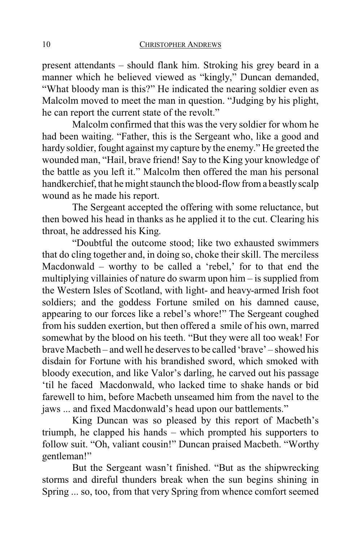present attendants – should flank him. Stroking his grey beard in a manner which he believed viewed as "kingly," Duncan demanded, "What bloody man is this?" He indicated the nearing soldier even as Malcolm moved to meet the man in question. "Judging by his plight, he can report the current state of the revolt."

Malcolm confirmed that this was the very soldier for whom he had been waiting. "Father, this is the Sergeant who, like a good and hardy soldier, fought against my capture by the enemy." He greeted the wounded man, "Hail, brave friend! Say to the King your knowledge of the battle as you left it." Malcolm then offered the man his personal handkerchief, that he might staunch the blood-flow from a beastly scalp wound as he made his report.

The Sergeant accepted the offering with some reluctance, but then bowed his head in thanks as he applied it to the cut. Clearing his throat, he addressed his King.

"Doubtful the outcome stood; like two exhausted swimmers that do cling together and, in doing so, choke their skill. The merciless Macdonwald – worthy to be called a 'rebel,' for to that end the multiplying villainies of nature do swarm upon him – is supplied from the Western Isles of Scotland, with light- and heavy-armed Irish foot soldiers; and the goddess Fortune smiled on his damned cause, appearing to our forces like a rebel's whore!" The Sergeant coughed from his sudden exertion, but then offered a smile of his own, marred somewhat by the blood on his teeth. "But they were all too weak! For brave Macbeth – and well he deserves to be called 'brave' – showed his disdain for Fortune with his brandished sword, which smoked with bloody execution, and like Valor's darling, he carved out his passage 'til he faced Macdonwald, who lacked time to shake hands or bid farewell to him, before Macbeth unseamed him from the navel to the jaws ... and fixed Macdonwald's head upon our battlements."

King Duncan was so pleased by this report of Macbeth's triumph, he clapped his hands – which prompted his supporters to follow suit. "Oh, valiant cousin!" Duncan praised Macbeth. "Worthy gentleman!"

But the Sergeant wasn't finished. "But as the shipwrecking storms and direful thunders break when the sun begins shining in Spring ... so, too, from that very Spring from whence comfort seemed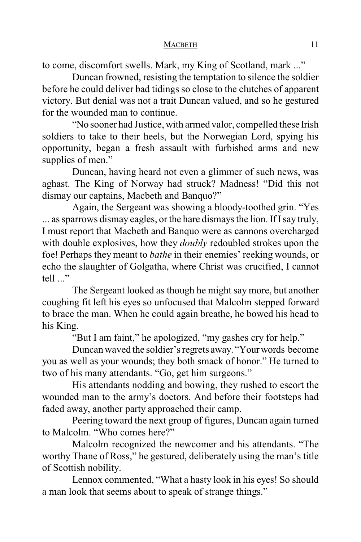to come, discomfort swells. Mark, my King of Scotland, mark ..."

Duncan frowned, resisting the temptation to silence the soldier before he could deliver bad tidings so close to the clutches of apparent victory. But denial was not a trait Duncan valued, and so he gestured for the wounded man to continue.

"No sooner had Justice, with armed valor, compelled these Irish soldiers to take to their heels, but the Norwegian Lord, spying his opportunity, began a fresh assault with furbished arms and new supplies of men."

Duncan, having heard not even a glimmer of such news, was aghast. The King of Norway had struck? Madness! "Did this not dismay our captains, Macbeth and Banquo?"

Again, the Sergeant was showing a bloody-toothed grin. "Yes ... as sparrows dismay eagles, or the hare dismays the lion. If I say truly, I must report that Macbeth and Banquo were as cannons overcharged with double explosives, how they *doubly* redoubled strokes upon the foe! Perhaps they meant to *bathe* in their enemies' reeking wounds, or echo the slaughter of Golgatha, where Christ was crucified, I cannot tell ..."

The Sergeant looked as though he might say more, but another coughing fit left his eyes so unfocused that Malcolm stepped forward to brace the man. When he could again breathe, he bowed his head to his King.

"But I am faint," he apologized, "my gashes cry for help."

Duncan waved the soldier's regrets away. "Yourwords become you as well as your wounds; they both smack of honor." He turned to two of his many attendants. "Go, get him surgeons."

His attendants nodding and bowing, they rushed to escort the wounded man to the army's doctors. And before their footsteps had faded away, another party approached their camp.

Peering toward the next group of figures, Duncan again turned to Malcolm. "Who comes here?"

Malcolm recognized the newcomer and his attendants. "The worthy Thane of Ross," he gestured, deliberately using the man's title of Scottish nobility.

Lennox commented, "What a hasty look in his eyes! So should a man look that seems about to speak of strange things."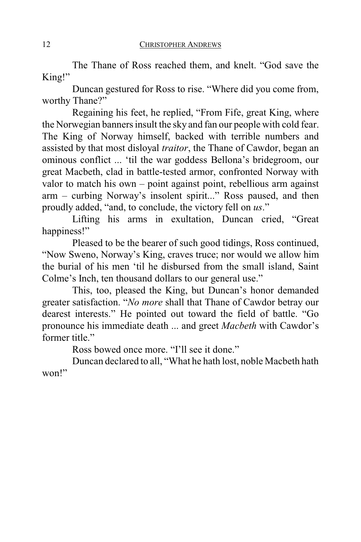The Thane of Ross reached them, and knelt. "God save the King!"

Duncan gestured for Ross to rise. "Where did you come from, worthy Thane?"

Regaining his feet, he replied, "From Fife, great King, where the Norwegian banners insult the sky and fan our people with cold fear. The King of Norway himself, backed with terrible numbers and assisted by that most disloyal *traitor*, the Thane of Cawdor, began an ominous conflict ... 'til the war goddess Bellona's bridegroom, our great Macbeth, clad in battle-tested armor, confronted Norway with valor to match his own – point against point, rebellious arm against arm – curbing Norway's insolent spirit..." Ross paused, and then proudly added, "and, to conclude, the victory fell on *us*."

Lifting his arms in exultation, Duncan cried, "Great happiness!"

Pleased to be the bearer of such good tidings, Ross continued, "Now Sweno, Norway's King, craves truce; nor would we allow him the burial of his men 'til he disbursed from the small island, Saint Colme's Inch, ten thousand dollars to our general use."

This, too, pleased the King, but Duncan's honor demanded greater satisfaction. "*No more* shall that Thane of Cawdor betray our dearest interests." He pointed out toward the field of battle. "Go pronounce his immediate death ... and greet *Macbeth* with Cawdor's former title."

Ross bowed once more. "I'll see it done."

Duncan declared to all, "What he hath lost, noble Macbeth hath won!"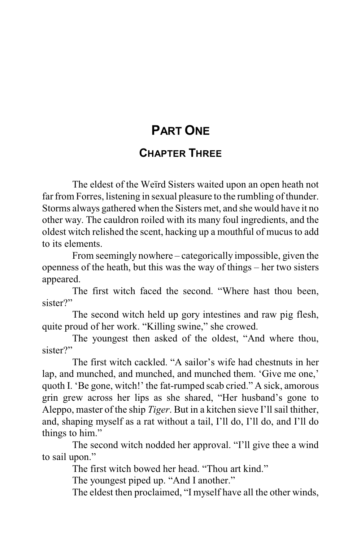# **PART ONE**

#### **CHAPTER THREE**

The eldest of the Weïrd Sisters waited upon an open heath not far from Forres, listening in sexual pleasure to the rumbling of thunder. Storms always gathered when the Sisters met, and she would have it no other way. The cauldron roiled with its many foul ingredients, and the oldest witch relished the scent, hacking up a mouthful of mucus to add to its elements.

From seemingly nowhere – categorically impossible, given the openness of the heath, but this was the way of things – her two sisters appeared.

The first witch faced the second. "Where hast thou been, sister?"

The second witch held up gory intestines and raw pig flesh, quite proud of her work. "Killing swine," she crowed.

The youngest then asked of the oldest, "And where thou, sister?"

The first witch cackled. "A sailor's wife had chestnuts in her lap, and munched, and munched, and munched them. 'Give me one,' quoth I. 'Be gone, witch!' the fat-rumped scab cried." A sick, amorous grin grew across her lips as she shared, "Her husband's gone to Aleppo, master of the ship *Tiger*. But in a kitchen sieve I'll sail thither, and, shaping myself as a rat without a tail, I'll do, I'll do, and I'll do things to him."

The second witch nodded her approval. "I'll give thee a wind to sail upon."

The first witch bowed her head. "Thou art kind."

The youngest piped up. "And I another."

The eldest then proclaimed, "I myself have all the other winds,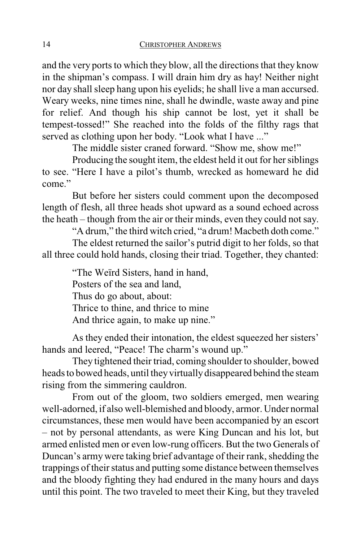and the very ports to which they blow, all the directions that they know in the shipman's compass. I will drain him dry as hay! Neither night nor day shall sleep hang upon his eyelids; he shall live a man accursed. Weary weeks, nine times nine, shall he dwindle, waste away and pine for relief. And though his ship cannot be lost, yet it shall be tempest-tossed!" She reached into the folds of the filthy rags that served as clothing upon her body. "Look what I have ..."

The middle sister craned forward. "Show me, show me!"

Producing the sought item, the eldest held it out for her siblings to see. "Here I have a pilot's thumb, wrecked as homeward he did come."

But before her sisters could comment upon the decomposed length of flesh, all three heads shot upward as a sound echoed across the heath – though from the air or their minds, even they could not say.

"A drum," the third witch cried, "a drum! Macbeth doth come."

The eldest returned the sailor's putrid digit to her folds, so that all three could hold hands, closing their triad. Together, they chanted:

> "The Weïrd Sisters, hand in hand, Posters of the sea and land, Thus do go about, about: Thrice to thine, and thrice to mine And thrice again, to make up nine."

As they ended their intonation, the eldest squeezed her sisters' hands and leered, "Peace! The charm's wound up."

They tightened their triad, coming shoulder to shoulder, bowed heads to bowed heads, until they virtually disappeared behind the steam rising from the simmering cauldron.

From out of the gloom, two soldiers emerged, men wearing well-adorned, if also well-blemished and bloody, armor. Under normal circumstances, these men would have been accompanied by an escort – not by personal attendants, as were King Duncan and his lot, but armed enlisted men or even low-rung officers. But the two Generals of Duncan's army were taking brief advantage of their rank, shedding the trappings of their status and putting some distance between themselves and the bloody fighting they had endured in the many hours and days until this point. The two traveled to meet their King, but they traveled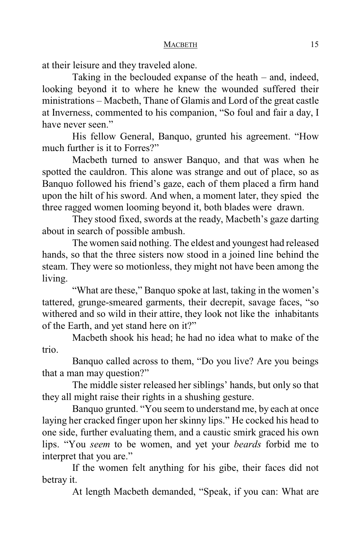at their leisure and they traveled alone.

Taking in the beclouded expanse of the heath – and, indeed, looking beyond it to where he knew the wounded suffered their ministrations – Macbeth, Thane of Glamis and Lord of the great castle at Inverness, commented to his companion, "So foul and fair a day, I have never seen."

His fellow General, Banquo, grunted his agreement. "How much further is it to Forres?"

Macbeth turned to answer Banquo, and that was when he spotted the cauldron. This alone was strange and out of place, so as Banquo followed his friend's gaze, each of them placed a firm hand upon the hilt of his sword. And when, a moment later, they spied the three ragged women looming beyond it, both blades were drawn.

They stood fixed, swords at the ready, Macbeth's gaze darting about in search of possible ambush.

The women said nothing. The eldest and youngest had released hands, so that the three sisters now stood in a joined line behind the steam. They were so motionless, they might not have been among the living.

"What are these," Banquo spoke at last, taking in the women's tattered, grunge-smeared garments, their decrepit, savage faces, "so withered and so wild in their attire, they look not like the inhabitants of the Earth, and yet stand here on it?"

Macbeth shook his head; he had no idea what to make of the trio.

Banquo called across to them, "Do you live? Are you beings that a man may question?"

The middle sister released her siblings' hands, but only so that they all might raise their rights in a shushing gesture.

Banquo grunted. "You seem to understand me, by each at once laying her cracked finger upon her skinny lips." He cocked his head to one side, further evaluating them, and a caustic smirk graced his own lips. "You *seem* to be women, and yet your *beards* forbid me to interpret that you are."

If the women felt anything for his gibe, their faces did not betray it.

At length Macbeth demanded, "Speak, if you can: What are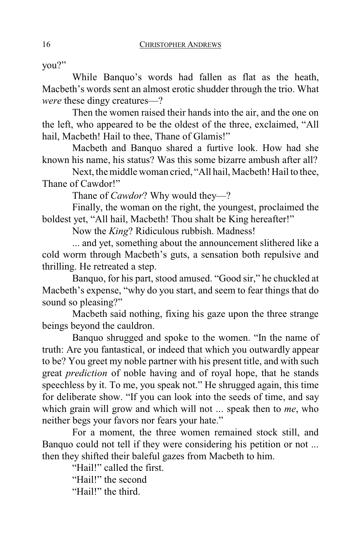you?"

While Banquo's words had fallen as flat as the heath, Macbeth's words sent an almost erotic shudder through the trio. What *were* these dingy creatures—?

Then the women raised their hands into the air, and the one on the left, who appeared to be the oldest of the three, exclaimed, "All hail, Macbeth! Hail to thee, Thane of Glamis!"

Macbeth and Banquo shared a furtive look. How had she known his name, his status? Was this some bizarre ambush after all?

Next, the middle woman cried, "All hail, Macbeth! Hail to thee, Thane of Cawdor!"

Thane of *Cawdor*? Why would they—?

Finally, the woman on the right, the youngest, proclaimed the boldest yet, "All hail, Macbeth! Thou shalt be King hereafter!"

Now the *King*? Ridiculous rubbish. Madness!

... and yet, something about the announcement slithered like a cold worm through Macbeth's guts, a sensation both repulsive and thrilling. He retreated a step.

Banquo, for his part, stood amused. "Good sir," he chuckled at Macbeth's expense, "why do you start, and seem to fear things that do sound so pleasing?"

Macbeth said nothing, fixing his gaze upon the three strange beings beyond the cauldron.

Banquo shrugged and spoke to the women. "In the name of truth: Are you fantastical, or indeed that which you outwardly appear to be? You greet my noble partner with his present title, and with such great *prediction* of noble having and of royal hope, that he stands speechless by it. To me, you speak not." He shrugged again, this time for deliberate show. "If you can look into the seeds of time, and say which grain will grow and which will not ... speak then to *me*, who neither begs your favors nor fears your hate."

For a moment, the three women remained stock still, and Banquo could not tell if they were considering his petition or not ... then they shifted their baleful gazes from Macbeth to him.

> "Hail!" called the first. "Hail!" the second "Hail!" the third.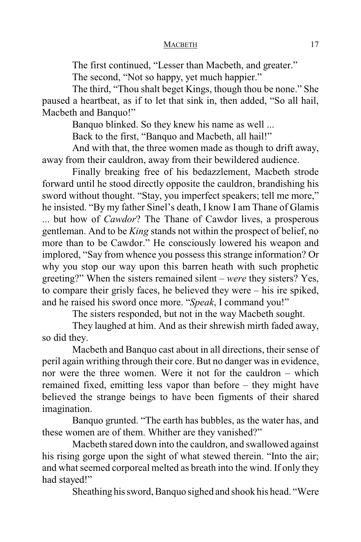The first continued, "Lesser than Macbeth, and greater."

The second, "Not so happy, yet much happier."

The third, "Thou shalt beget Kings, though thou be none." She paused a heartbeat, as if to let that sink in, then added, "So all hail, Macbeth and Banquo!"

Banquo blinked. So they knew his name as well ...

Back to the first, "Banquo and Macbeth, all hail!"

And with that, the three women made as though to drift away, away from their cauldron, away from their bewildered audience.

Finally breaking free of his bedazzlement, Macbeth strode forward until he stood directly opposite the cauldron, brandishing his sword without thought. "Stay, you imperfect speakers; tell me more," he insisted. "By my father Sinel's death, I know I am Thane of Glamis ... but how of *Cawdor*? The Thane of Cawdor lives, a prosperous gentleman. And to be *King* stands not within the prospect of belief, no more than to be Cawdor." He consciously lowered his weapon and implored, "Say from whence you possess this strange information? Or why you stop our way upon this barren heath with such prophetic greeting?" When the sisters remained silent – *were* they sisters? Yes, to compare their grisly faces, he believed they were – his ire spiked, and he raised his sword once more. "*Speak*, I command you!"

The sisters responded, but not in the way Macbeth sought.

They laughed at him. And as their shrewish mirth faded away, so did they.

Macbeth and Banquo cast about in all directions, their sense of peril again writhing through their core. But no danger was in evidence, nor were the three women. Were it not for the cauldron – which remained fixed, emitting less vapor than before – they might have believed the strange beings to have been figments of their shared imagination.

Banquo grunted. "The earth has bubbles, as the water has, and these women are of them. Whither are they vanished?"

Macbeth stared down into the cauldron, and swallowed against his rising gorge upon the sight of what stewed therein. "Into the air; and what seemed corporeal melted as breath into the wind. If only they had stayed!"

Sheathing hissword, Banquo sighed and shook his head. "Were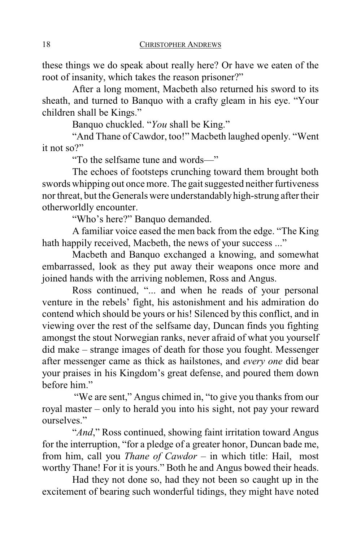these things we do speak about really here? Or have we eaten of the root of insanity, which takes the reason prisoner?"

After a long moment, Macbeth also returned his sword to its sheath, and turned to Banquo with a crafty gleam in his eye. "Your children shall be Kings."

Banquo chuckled. "*You* shall be King."

"And Thane of Cawdor, too!" Macbeth laughed openly. "Went it not so?"

"To the selfsame tune and words—"

The echoes of footsteps crunching toward them brought both swords whipping out once more. The gait suggested neither furtiveness nor threat, but the Generals were understandablyhigh-strung after their otherworldly encounter.

"Who's here?" Banquo demanded.

A familiar voice eased the men back from the edge. "The King hath happily received, Macbeth, the news of your success ..."

Macbeth and Banquo exchanged a knowing, and somewhat embarrassed, look as they put away their weapons once more and joined hands with the arriving noblemen, Ross and Angus.

Ross continued, "... and when he reads of your personal venture in the rebels' fight, his astonishment and his admiration do contend which should be yours or his! Silenced by this conflict, and in viewing over the rest of the selfsame day, Duncan finds you fighting amongst the stout Norwegian ranks, never afraid of what you yourself did make – strange images of death for those you fought. Messenger after messenger came as thick as hailstones, and *every one* did bear your praises in his Kingdom's great defense, and poured them down before him."

"We are sent," Angus chimed in, "to give you thanks from our royal master – only to herald you into his sight, not pay your reward ourselves."

"*And*," Ross continued, showing faint irritation toward Angus for the interruption, "for a pledge of a greater honor, Duncan bade me, from him, call you *Thane of Cawdor* – in which title: Hail, most worthy Thane! For it is yours." Both he and Angus bowed their heads.

Had they not done so, had they not been so caught up in the excitement of bearing such wonderful tidings, they might have noted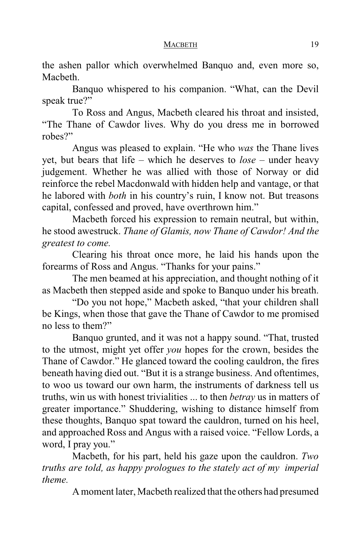the ashen pallor which overwhelmed Banquo and, even more so, Macbeth.

Banquo whispered to his companion. "What, can the Devil speak true?"

To Ross and Angus, Macbeth cleared his throat and insisted, "The Thane of Cawdor lives. Why do you dress me in borrowed robes?"

Angus was pleased to explain. "He who *was* the Thane lives yet, but bears that life – which he deserves to *lose* – under heavy judgement. Whether he was allied with those of Norway or did reinforce the rebel Macdonwald with hidden help and vantage, or that he labored with *both* in his country's ruin, I know not. But treasons capital, confessed and proved, have overthrown him."

Macbeth forced his expression to remain neutral, but within, he stood awestruck. *Thane of Glamis, now Thane of Cawdor! And the greatest to come.*

Clearing his throat once more, he laid his hands upon the forearms of Ross and Angus. "Thanks for your pains."

The men beamed at his appreciation, and thought nothing of it as Macbeth then stepped aside and spoke to Banquo under his breath.

"Do you not hope," Macbeth asked, "that your children shall be Kings, when those that gave the Thane of Cawdor to me promised no less to them?"

Banquo grunted, and it was not a happy sound. "That, trusted to the utmost, might yet offer *you* hopes for the crown, besides the Thane of Cawdor." He glanced toward the cooling cauldron, the fires beneath having died out. "But it is a strange business. And oftentimes, to woo us toward our own harm, the instruments of darkness tell us truths, win us with honest trivialities ... to then *betray* us in matters of greater importance." Shuddering, wishing to distance himself from these thoughts, Banquo spat toward the cauldron, turned on his heel, and approached Ross and Angus with a raised voice. "Fellow Lords, a word, I pray you."

Macbeth, for his part, held his gaze upon the cauldron. *Two truths are told, as happy prologues to the stately act of my imperial theme.*

Amoment later, Macbeth realized that the others had presumed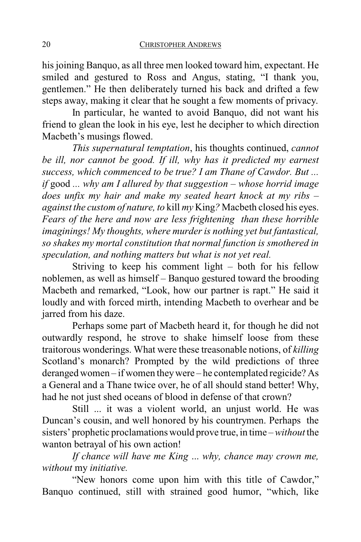his joining Banquo, as all three men looked toward him, expectant. He smiled and gestured to Ross and Angus, stating, "I thank you, gentlemen." He then deliberately turned his back and drifted a few steps away, making it clear that he sought a few moments of privacy.

In particular, he wanted to avoid Banquo, did not want his friend to glean the look in his eye, lest he decipher to which direction Macbeth's musings flowed.

*This supernatural temptation*, his thoughts continued, *cannot be ill, nor cannot be good. If ill, why has it predicted my earnest success, which commenced to be true? I am Thane of Cawdor. But ... if* good *... why am I allured by that suggestion – whose horrid image does unfix my hair and make my seated heart knock at my ribs – against the custom of nature, to* kill *my* King*?* Macbeth closed his eyes. *Fears of the here and now are less frightening than these horrible imaginings! My thoughts, where murder is nothing yet but fantastical, so shakes my mortal constitution that normal function is smothered in speculation, and nothing matters but what is not yet real.*

Striving to keep his comment light – both for his fellow noblemen, as well as himself – Banquo gestured toward the brooding Macbeth and remarked, "Look, how our partner is rapt." He said it loudly and with forced mirth, intending Macbeth to overhear and be jarred from his daze.

Perhaps some part of Macbeth heard it, for though he did not outwardly respond, he strove to shake himself loose from these traitorous wonderings. What were these treasonable notions, of *killing* Scotland's monarch? Prompted by the wild predictions of three deranged women – if women theywere – he contemplated regicide? As a General and a Thane twice over, he of all should stand better! Why, had he not just shed oceans of blood in defense of that crown?

Still ... it was a violent world, an unjust world. He was Duncan's cousin, and well honored by his countrymen. Perhaps the sisters' prophetic proclamations would prove true, in time – *without* the wanton betrayal of his own action!

*If chance will have me King* ... *why, chance may crown me, without* my *initiative.*

"New honors come upon him with this title of Cawdor," Banquo continued, still with strained good humor, "which, like